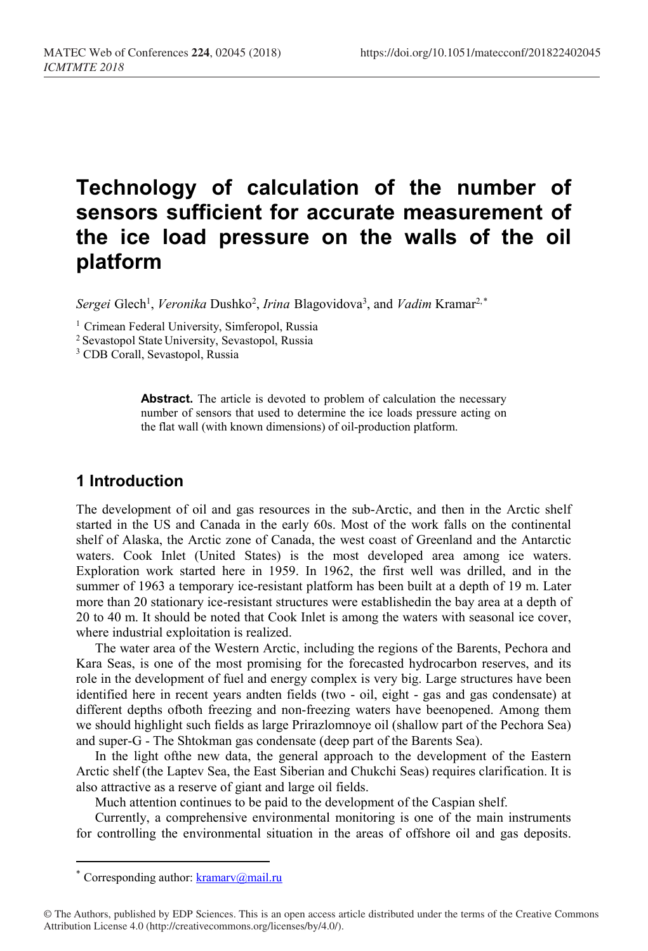# **Technology of calculation of the number of sensors sufficient for accurate measurement of the ice load pressure on the walls of the oil platform**

 $Sergei$  Glech<sup>1</sup>, *Veronika* Dushko<sup>2</sup>, *Irina* Blagovidova<sup>3</sup>, and *Vadim* Kramar<sup>2,[\\*](#page-0-0)</sup>

<sup>1</sup> Crimean Federal University, Simferopol, Russia

2 Sevastopol State University, Sevastopol, Russia

<sup>3</sup> CDB Corall, Sevastopol, Russia

**Abstract.** The article is devoted to problem of calculation the necessary number of sensors that used to determine the ice loads pressure acting on the flat wall (with known dimensions) of oil-production platform.

# **1 Introduction**

The development of oil and gas resources in the sub-Arctic, and then in the Arctic shelf started in the US and Canada in the early 60s. Most of the work falls on the continental shelf of Alaska, the Arctic zone of Canada, the west coast of Greenland and the Antarctic waters. Cook Inlet (United States) is the most developed area among ice waters. Exploration work started here in 1959. In 1962, the first well was drilled, and in the summer of 1963 a temporary ice-resistant platform has been built at a depth of 19 m. Later more than 20 stationary ice-resistant structures were establishedin the bay area at a depth of 20 to 40 m. It should be noted that Cook Inlet is among the waters with seasonal ice cover, where industrial exploitation is realized.

The water area of the Western Arctic, including the regions of the Barents, Pechora and Kara Seas, is one of the most promising for the forecasted hydrocarbon reserves, and its role in the development of fuel and energy complex is very big. Large structures have been identified here in recent years andten fields (two - oil, eight - gas and gas condensate) at different depths ofboth freezing and non-freezing waters have beenopened. Among them we should highlight such fields as large Prirazlomnoye oil (shallow part of the Pechora Sea) and super-G - The Shtokman gas condensate (deep part of the Barents Sea).

In the light ofthe new data, the general approach to the development of the Eastern Arctic shelf (the Laptev Sea, the East Siberian and Chukchi Seas) requires clarification. It is also attractive as a reserve of giant and large oil fields.

Much attention continues to be paid to the development of the Caspian shelf.

Currently, a comprehensive environmental monitoring is one of the main instruments for controlling the environmental situation in the areas of offshore oil and gas deposits.

 $\overline{a}$ 

Corresponding author: [kramarv@mail.ru](mailto:kramarv@mail.)

<span id="page-0-0"></span><sup>©</sup> The Authors, published by EDP Sciences. This is an open access article distributed under the terms of the Creative Commons Attribution License 4.0 (http://creativecommons.org/licenses/by/4.0/).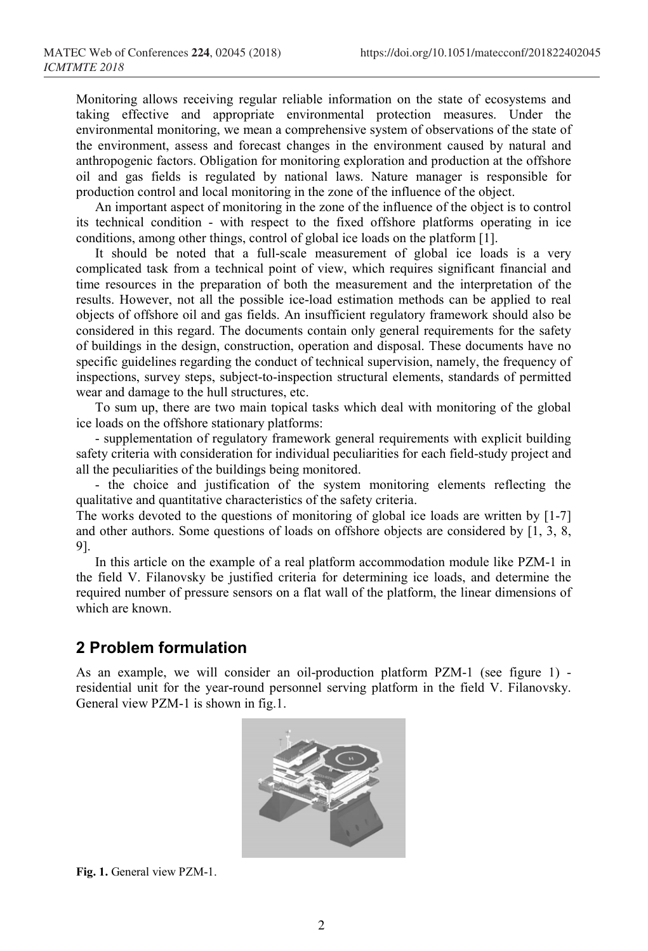Monitoring allows receiving regular reliable information on the state of ecosystems and taking effective and appropriate environmental protection measures. Under the environmental monitoring, we mean a comprehensive system of observations of the state of the environment, assess and forecast changes in the environment caused by natural and anthropogenic factors. Obligation for monitoring exploration and production at the offshore oil and gas fields is regulated by national laws. Nature manager is responsible for production control and local monitoring in the zone of the influence of the object.

An important aspect of monitoring in the zone of the influence of the object is to control its technical condition - with respect to the fixed offshore platforms operating in ice conditions, among other things, control of global ice loads on the platform [1].

It should be noted that a full-scale measurement of global ice loads is a very complicated task from a technical point of view, which requires significant financial and time resources in the preparation of both the measurement and the interpretation of the results. However, not all the possible ice-load estimation methods can be applied to real objects of offshore oil and gas fields. An insufficient regulatory framework should also be considered in this regard. The documents contain only general requirements for the safety of buildings in the design, construction, operation and disposal. These documents have no specific guidelines regarding the conduct of technical supervision, namely, the frequency of inspections, survey steps, subject-to-inspection structural elements, standards of permitted wear and damage to the hull structures, etc.

To sum up, there are two main topical tasks which deal with monitoring of the global ice loads on the offshore stationary platforms:

- supplementation of regulatory framework general requirements with explicit building safety criteria with consideration for individual peculiarities for each field-study project and all the peculiarities of the buildings being monitored.

- the choice and justification of the system monitoring elements reflecting the qualitative and quantitative characteristics of the safety criteria.

The works devoted to the questions of monitoring of global ice loads are written by [1-7] and other authors. Some questions of loads on offshore objects are considered by [1, 3, 8, 9].

In this article on the example of a real platform accommodation module like PZM-1 in the field V. Filanovsky be justified criteria for determining ice loads, and determine the required number of pressure sensors on a flat wall of the platform, the linear dimensions of which are known.

# **2 Problem formulation**

As an example, we will consider an oil-production platform PZM-1 (see figure 1) residential unit for the year-round personnel serving platform in the field V. Filanovsky. General view PZM-1 is shown in fig.1.



**Fig. 1.** General view PZM-1.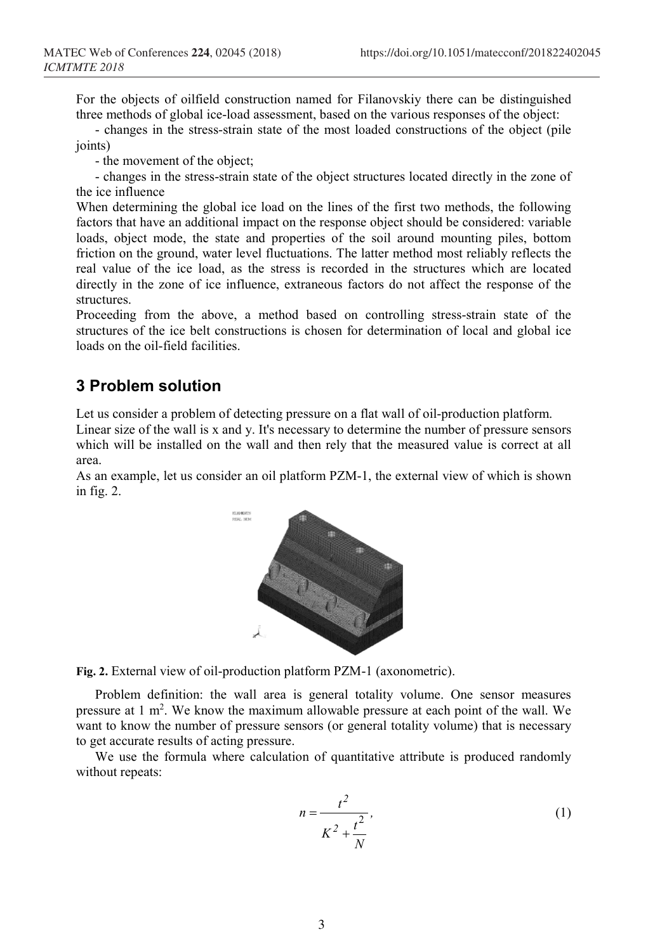For the objects of oilfield construction named for Filanovskiy there can be distinguished three methods of global ice-load assessment, based on the various responses of the object:

- changes in the stress-strain state of the most loaded constructions of the object (pile joints)

- the movement of the object;

- changes in the stress-strain state of the object structures located directly in the zone of the ice influence

When determining the global ice load on the lines of the first two methods, the following factors that have an additional impact on the response object should be considered: variable loads, object mode, the state and properties of the soil around mounting piles, bottom friction on the ground, water level fluctuations. The latter method most reliably reflects the real value of the ice load, as the stress is recorded in the structures which are located directly in the zone of ice influence, extraneous factors do not affect the response of the structures.

Proceeding from the above, a method based on controlling stress-strain state of the structures of the ice belt constructions is chosen for determination of local and global ice loads on the oil-field facilities.

# **3 Problem solution**

Let us consider a problem of detecting pressure on a flat wall of oil-production platform.

Linear size of the wall is x and y. It's necessary to determine the number of pressure sensors which will be installed on the wall and then rely that the measured value is correct at all area.

As an example, let us consider an oil platform PZM-1, the external view of which is shown in fig. 2.



**Fig. 2.** External view of oil-production platform PZM-1 (axonometric).

Problem definition: the wall area is general totality volume. One sensor measures pressure at 1 m<sup>2</sup>. We know the maximum allowable pressure at each point of the wall. We want to know the number of pressure sensors (or general totality volume) that is necessary to get accurate results of acting pressure.

We use the formula where calculation of quantitative attribute is produced randomly without repeats:

$$
n = \frac{t^2}{K^2 + \frac{t^2}{N}},
$$
 (1)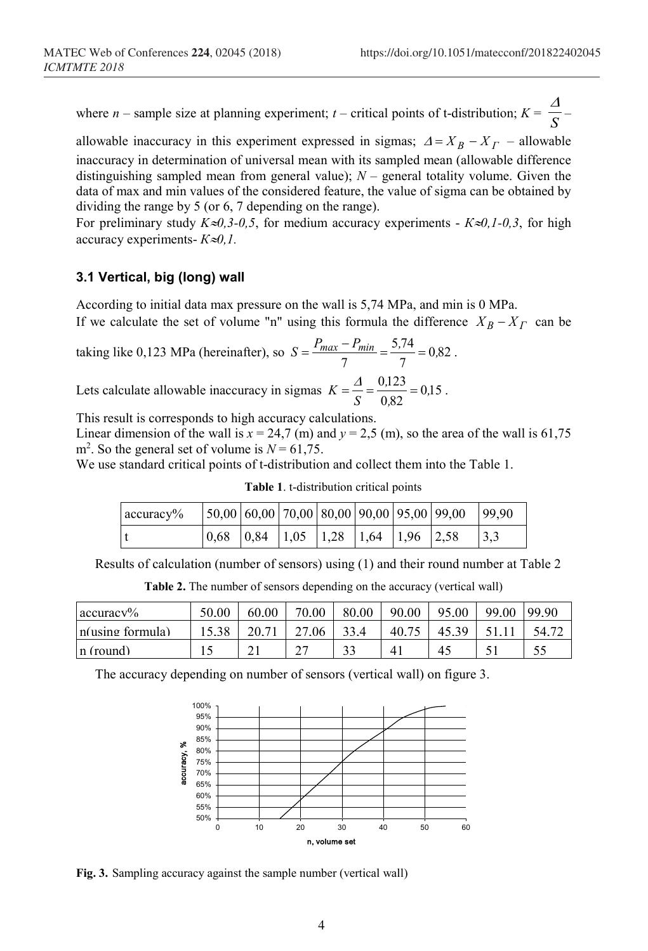where *n* – sample size at planning experiment; *t* – critical points of t-distribution;  $K = \frac{\Delta}{S}$ 

allowable inaccuracy in this experiment expressed in sigmas;  $\Delta = X_B - X_T$  – allowable inaccuracy in determination of universal mean with its sampled mean (allowable difference distinguishing sampled mean from general value);  $N -$  general totality volume. Given the data of max and min values of the considered feature, the value of sigma can be obtained by dividing the range by 5 (or 6, 7 depending on the range).

For preliminary study *K*≈*0,3-0,5*, for medium accuracy experiments - *К*≈*0,1-0,3*, for high accuracy experiments- *К*≈*0,1.*

#### **3.1 Vertical, big (long) wall**

According to initial data max pressure on the wall is 5,74 MPa, and min is 0 MPa. If we calculate the set of volume "n" using this formula the difference  $X_B - X_T$  can be

taking like 0,123 MPa (hereinafter), so 
$$
S = \frac{P_{max} - P_{min}}{7} = \frac{5.74}{7} = 0.82
$$
.

Lets calculate allowable inaccuracy in sigmas  $K = \frac{3}{2} = \frac{0.155}{0.02} = 0.15$  $\frac{0,123}{0,82} = 0,$ *S*  $K = \frac{\Delta}{\sigma} = \frac{0.123}{0.02} = 0.15$ .

This result is corresponds to high accuracy calculations.

Linear dimension of the wall is  $x = 24.7$  (m) and  $y = 2.5$  (m), so the area of the wall is 61,75 m<sup>2</sup>. So the general set of volume is  $N = 61,75$ .

We use standard critical points of t-distribution and collect them into the Table 1.

**Table 1**. t-distribution critical points

| $ accuracy\%$ | $ 50,00 $ 60,00   70,00   80,00   90,00   95,00   99,00 |  |  |  | 99.90 |
|---------------|---------------------------------------------------------|--|--|--|-------|
|               |                                                         |  |  |  | 13,3  |

Results of calculation (number of sensors) using (1) and their round number at Table 2

| accuracy%        | 50.00 | 60.00 | 70.00 | 80.00 | 90.00 | 95.00 | 99.00 | 99.90 |
|------------------|-------|-------|-------|-------|-------|-------|-------|-------|
| n(using formula) | 15.38 | 20.71 | 27.06 | 33.4  | 40.75 | 45.39 |       | 54.72 |
| n (round)        |       |       |       |       |       | 45    |       |       |

**Table 2.** The number of sensors depending on the accuracy (vertical wall)

The accuracy depending on number of sensors (vertical wall) on figure 3.



**Fig. 3.** Sampling accuracy against the sample number (vertical wall)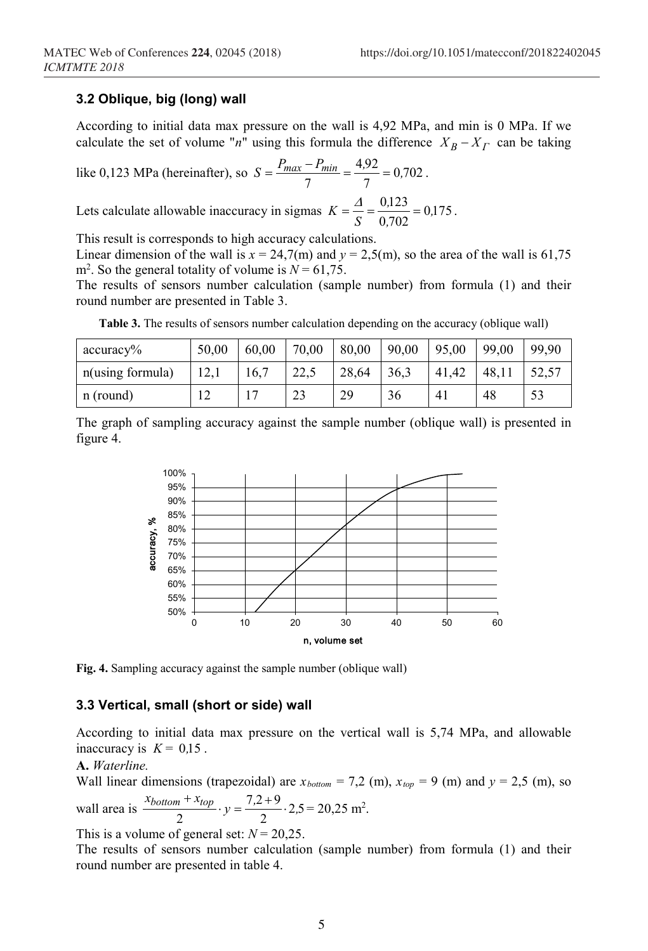#### **3.2 Oblique, big (long) wall**

According to initial data max pressure on the wall is 4,92 MPa, and min is 0 MPa. If we calculate the set of volume "*n*" using this formula the difference  $X_B - X_T$  can be taking

like 0,123 MPa (hereinafter), so 
$$
S = \frac{P_{max} - P_{min}}{7} = \frac{4.92}{7} = 0.702
$$
.

Lets calculate allowable inaccuracy in sigmas  $K = \frac{\Delta}{S} = \frac{0.123}{0.702} = 0.175$  $K = \frac{\Delta}{S} = \frac{0.123}{0.702} = 0.175$ .

This result is corresponds to high accuracy calculations.

Linear dimension of the wall is  $x = 24,7$ (m) and  $y = 2,5$ (m), so the area of the wall is 61,75 m<sup>2</sup>. So the general totality of volume is  $N = 61,75$ .

The results of sensors number calculation (sample number) from formula (1) and their round number are presented in Table 3.

**Table 3.** The results of sensors number calculation depending on the accuracy (oblique wall)

| $accuracy\%$     | 50.00 | 60.00 | 70,00 | 80,00 | 90.00 | 95.00 | 99.00 | 99.90 |
|------------------|-------|-------|-------|-------|-------|-------|-------|-------|
| n(using formula) | 12.1  | 16,7  | 22.5  | 28,64 | 36,3  | 41.42 | 48.11 | 52.57 |
| n (round)        |       |       | 23    | 29    | 36    | 41    | 48    |       |

The graph of sampling accuracy against the sample number (oblique wall) is presented in figure 4.



**Fig. 4.** Sampling accuracy against the sample number (oblique wall)

#### **3.3 Vertical, small (short or side) wall**

According to initial data max pressure on the vertical wall is 5,74 MPa, and allowable inaccuracy is  $K = 0.15$ .

**А.** *Waterline.*

Wall linear dimensions (trapezoidal) are  $x_{bottom} = 7.2$  (m),  $x_{top} = 9$  (m) and  $y = 2.5$  (m), so wall area is  $\frac{3.500 \text{ m/s}}{2} \cdot y = \frac{7.275}{2} \cdot 2.5$  $\frac{x_{bottom} + x_{top}}{2} \cdot y = \frac{7,2 + 9}{2} \cdot 2,5 = 20,25 \text{ m}^2.$ 

This is a volume of general set:  $N = 20,25$ .

The results of sensors number calculation (sample number) from formula (1) and their round number are presented in table 4.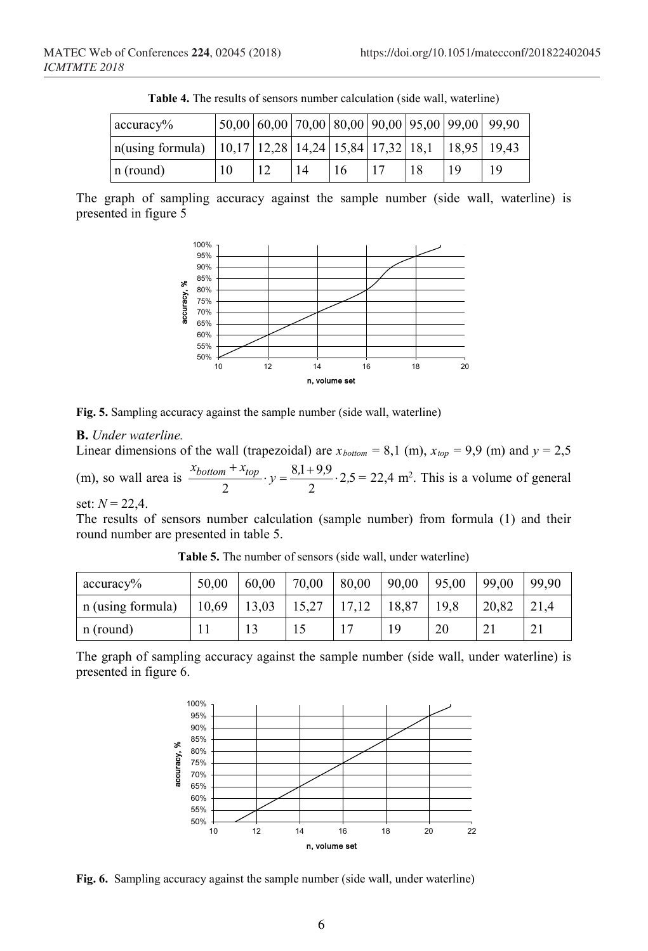| accuracy%                                                                                                         |    |    |    |  | $50,00$   60,00   70,00   80,00   90,00   95,00   99,00   99,90 |
|-------------------------------------------------------------------------------------------------------------------|----|----|----|--|-----------------------------------------------------------------|
| n(using formula) $\vert 10,17 \vert 12,28 \vert 14,24 \vert 15,84 \vert 17,32 \vert 18,1 \vert 18,95 \vert 19,43$ |    |    |    |  |                                                                 |
| $\ln$ (round)                                                                                                     | 10 | 14 | 16 |  |                                                                 |

**Table 4.** The results of sensors number calculation (side wall, waterline)

The graph of sampling accuracy against the sample number (side wall, waterline) is presented in figure 5



**Fig. 5.** Sampling accuracy against the sample number (side wall, waterline)

#### **B.** *Under waterline.*

Linear dimensions of the wall (trapezoidal) are  $x_{bottom} = 8,1$  (m),  $x_{top} = 9,9$  (m) and  $y = 2,5$ (m), so wall area is  $\frac{3600m}{2}$  ·  $y = \frac{6(1.19)}{2}$  · 2.5  $\frac{x_{bottom} + x_{top}}{2} \cdot y = \frac{8.1 + 9.9}{2} \cdot 2.5 = 22.4 \text{ m}^2$ . This is a volume of general

set:  $N = 22.4$ .

The results of sensors number calculation (sample number) from formula (1) and their round number are presented in table 5.

| $accuracy\%$      | 50,00 | 60.00 | 70,00 | 80,00 | 90.00 | 95.00 | 99.00 | 99.90 |
|-------------------|-------|-------|-------|-------|-------|-------|-------|-------|
| n (using formula) | 10,69 | 13,03 | 15,27 | 17,12 | 18,87 | 19.8  | 20,82 |       |
| n (round)         |       |       |       |       | 19    | 20    |       | ∠⊥    |

**Table 5.** The number of sensors (side wall, under waterline)

The graph of sampling accuracy against the sample number (side wall, under waterline) is presented in figure 6.



**Fig. 6.** Sampling accuracy against the sample number (side wall, under waterline)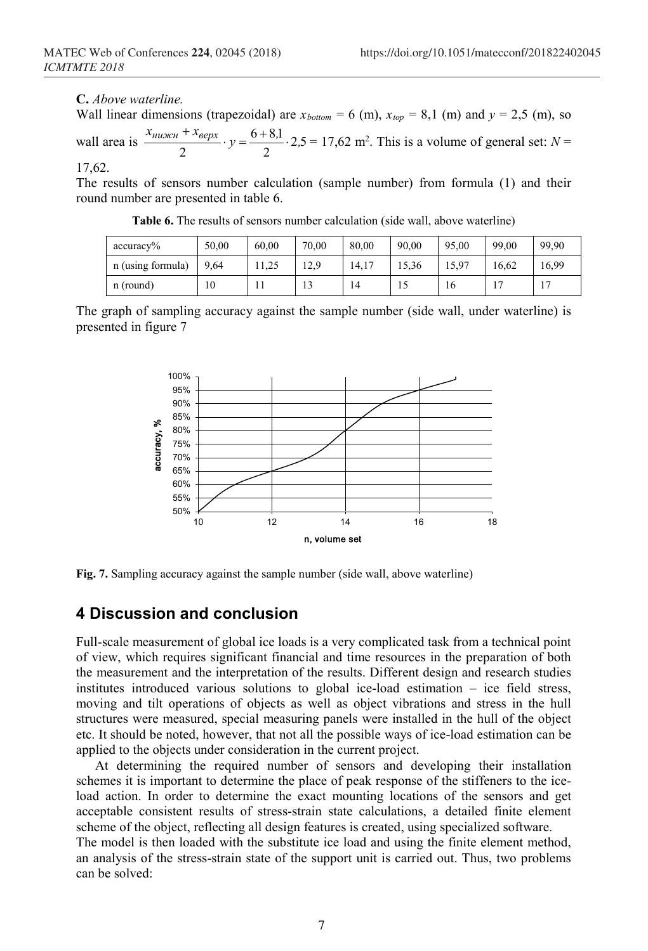#### **C.** *Above waterline.*

Wall linear dimensions (trapezoidal) are  $x_{bottom} = 6$  (m),  $x_{top} = 8,1$  (m) and  $y = 2,5$  (m), so wall area is  $\frac{m \cancel{m} n}{2} \cdot y = \frac{3 \cdot 5 \cdot 5}{2} \cdot 2.5$  $\frac{x_{\mu\mu x \mu} + x_{\text{sepx}}}{2} \cdot y = \frac{6 + 8.1}{2} \cdot 2.5 = 17.62 \text{ m}^2$ . This is a volume of general set: *N* =

17,62.

The results of sensors number calculation (sample number) from formula (1) and their round number are presented in table 6.

| $accuracy\%$      | 50.00 | 60.00 | 70.00 | 80,00 | 90.00 | 95.00 | 99.00 | 99,90 |
|-------------------|-------|-------|-------|-------|-------|-------|-------|-------|
| n (using formula) | 9.64  | 11.25 | 12.9  | 14.17 | 15.36 | 15,97 | 16.62 | 16,99 |
| n (round)         | 10    | 11    | 15    | 14    | ن ۱   | 16    |       |       |

**Table 6.** The results of sensors number calculation (side wall, above waterline)

The graph of sampling accuracy against the sample number (side wall, under waterline) is presented in figure 7



**Fig. 7.** Sampling accuracy against the sample number (side wall, above waterline)

### **4 Discussion and conclusion**

Full-scale measurement of global ice loads is a very complicated task from a technical point of view, which requires significant financial and time resources in the preparation of both the measurement and the interpretation of the results. Different design and research studies institutes introduced various solutions to global ice-load estimation – ice field stress, moving and tilt operations of objects as well as object vibrations and stress in the hull structures were measured, special measuring panels were installed in the hull of the object etc. It should be noted, however, that not all the possible ways of ice-load estimation can be applied to the objects under consideration in the current project.

At determining the required number of sensors and developing their installation schemes it is important to determine the place of peak response of the stiffeners to the iceload action. In order to determine the exact mounting locations of the sensors and get acceptable consistent results of stress-strain state calculations, a detailed finite element scheme of the object, reflecting all design features is created, using specialized software.

The model is then loaded with the substitute ice load and using the finite element method, an analysis of the stress-strain state of the support unit is carried out. Thus, two problems can be solved: